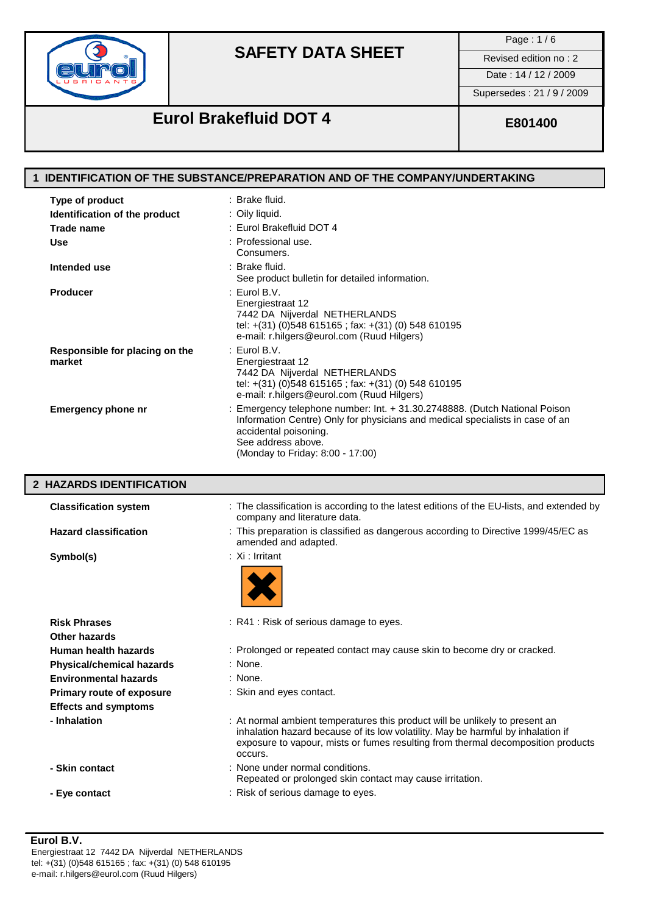

Page : 1 / 6

Date: 14 / 12 / 2009

Supersedes : 21 / 9 / 2009

# **Eurol Brakefluid DOT 4 E801400**

|                                          | 1 IDENTIFICATION OF THE SUBSTANCE/PREPARATION AND OF THE COMPANY/UNDERTAKING                                                                                                                                                                                    |
|------------------------------------------|-----------------------------------------------------------------------------------------------------------------------------------------------------------------------------------------------------------------------------------------------------------------|
| Type of product                          | : Brake fluid.                                                                                                                                                                                                                                                  |
| Identification of the product            | : Oily liquid.                                                                                                                                                                                                                                                  |
| <b>Trade name</b>                        | : Eurol Brakefluid DOT 4                                                                                                                                                                                                                                        |
| Use                                      | : Professional use.<br>Consumers.                                                                                                                                                                                                                               |
| Intended use                             | : Brake fluid.<br>See product bulletin for detailed information.                                                                                                                                                                                                |
| <b>Producer</b>                          | $:$ Eurol B.V.<br>Energiestraat 12<br>7442 DA Nijverdal NETHERLANDS<br>tel: +(31) (0)548 615165; fax: +(31) (0) 548 610195<br>e-mail: r.hilgers@eurol.com (Ruud Hilgers)                                                                                        |
| Responsible for placing on the<br>market | $:$ Eurol B.V.<br>Energiestraat 12<br>7442 DA Nijverdal NETHERLANDS<br>tel: +(31) (0)548 615165; fax: +(31) (0) 548 610195<br>e-mail: r.hilgers@eurol.com (Ruud Hilgers)                                                                                        |
| <b>Emergency phone nr</b>                | : Emergency telephone number: Int. + 31.30.2748888. (Dutch National Poison<br>Information Centre) Only for physicians and medical specialists in case of an<br>accidental poisoning.<br>See address above.<br>(Monday to Friday: 8:00 - 17:00)                  |
| 2 HAZARDS IDENTIFICATION                 |                                                                                                                                                                                                                                                                 |
|                                          |                                                                                                                                                                                                                                                                 |
| <b>Classification system</b>             | : The classification is according to the latest editions of the EU-lists, and extended by<br>company and literature data.                                                                                                                                       |
| <b>Hazard classification</b>             | : This preparation is classified as dangerous according to Directive 1999/45/EC as<br>amended and adapted.                                                                                                                                                      |
| Symbol(s)                                | : Xi : Irritant                                                                                                                                                                                                                                                 |
| <b>Risk Phrases</b>                      | : R41 : Risk of serious damage to eyes.                                                                                                                                                                                                                         |
| <b>Other hazards</b>                     |                                                                                                                                                                                                                                                                 |
| Human health hazards                     | : Prolonged or repeated contact may cause skin to become dry or cracked.                                                                                                                                                                                        |
| <b>Physical/chemical hazards</b>         | : None.                                                                                                                                                                                                                                                         |
| <b>Environmental hazards</b>             | : None.                                                                                                                                                                                                                                                         |
| Primary route of exposure                | : Skin and eyes contact.                                                                                                                                                                                                                                        |
| <b>Effects and symptoms</b>              |                                                                                                                                                                                                                                                                 |
| - Inhalation                             | : At normal ambient temperatures this product will be unlikely to present an<br>inhalation hazard because of its low volatility. May be harmful by inhalation if<br>exposure to vapour, mists or fumes resulting from thermal decomposition products<br>occurs. |
| - Skin contact                           | : None under normal conditions.<br>Repeated or prolonged skin contact may cause irritation.                                                                                                                                                                     |

e-mail: r.hilgers@eurol.com (Ruud Hilgers)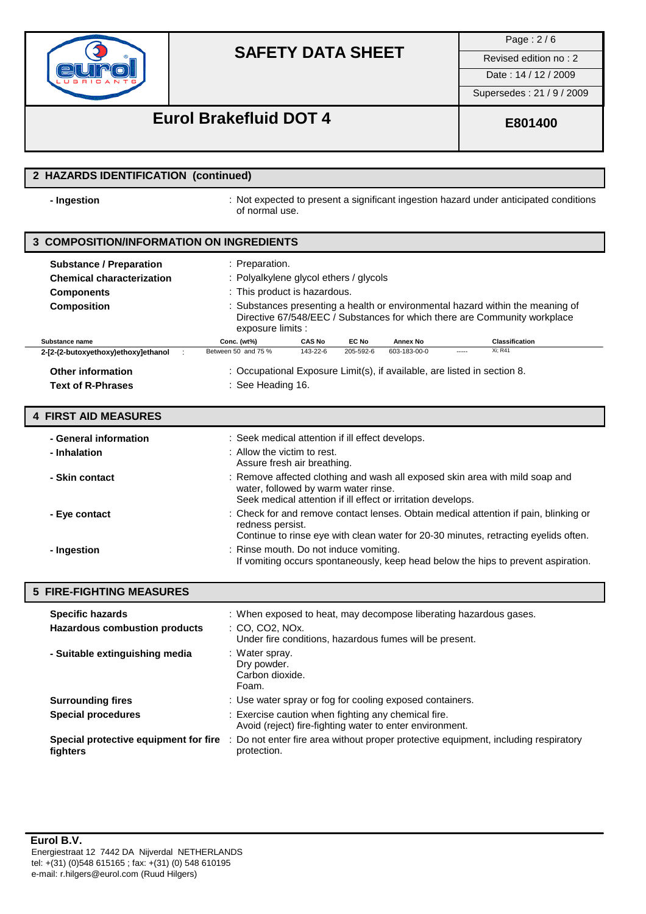

Page : 2 / 6

Date : 14 / 12 / 2009

Supersedes : 21 / 9 / 2009

## **Eurol Brakefluid DOT 4 E801400**

### **2 HAZARDS IDENTIFICATION (continued)**

**- Ingestion** : Not expected to present a significant ingestion hazard under anticipated conditions of normal use.

### **3 COMPOSITION/INFORMATION ON INGREDIENTS**

| <b>Substance / Preparation</b><br><b>Chemical characterization</b><br><b>Components</b><br><b>Composition</b> | : Preparation.<br>: Polyalkylene glycol ethers / glycols<br>: This product is hazardous. |               |           |                                                                          |       | : Substances presenting a health or environmental hazard within the meaning of              |  |
|---------------------------------------------------------------------------------------------------------------|------------------------------------------------------------------------------------------|---------------|-----------|--------------------------------------------------------------------------|-------|---------------------------------------------------------------------------------------------|--|
| Substance name                                                                                                | exposure limits :<br>Conc. (wt%)                                                         | <b>CAS No</b> | EC No     | Annex No                                                                 |       | Directive 67/548/EEC / Substances for which there are Community workplace<br>Classification |  |
| 2-[2-(2-butoxyethoxy)ethoxy]ethanol                                                                           | Between 50 and 75 %                                                                      | 143-22-6      | 205-592-6 | 603-183-00-0                                                             | ----- | Xi: R41                                                                                     |  |
| <b>Other information</b><br><b>Text of R-Phrases</b>                                                          | : See Heading 16.                                                                        |               |           | : Occupational Exposure Limit(s), if available, are listed in section 8. |       |                                                                                             |  |

### **4 FIRST AID MEASURES**

| - General information<br>- Inhalation | : Seek medical attention if ill effect develops.<br>: Allow the victim to rest.<br>Assure fresh air breathing.                                                                                  |
|---------------------------------------|-------------------------------------------------------------------------------------------------------------------------------------------------------------------------------------------------|
| - Skin contact                        | : Remove affected clothing and wash all exposed skin area with mild soap and<br>water, followed by warm water rinse.<br>Seek medical attention if ill effect or irritation develops.            |
| - Eye contact                         | : Check for and remove contact lenses. Obtain medical attention if pain, blinking or<br>redness persist.<br>Continue to rinse eye with clean water for 20-30 minutes, retracting eyelids often. |
| - Ingestion                           | : Rinse mouth. Do not induce vomiting.<br>If vomiting occurs spontaneously, keep head below the hips to prevent aspiration.                                                                     |

| <b>5 FIRE-FIGHTING MEASURES</b>                                 |                                                                                                                                                 |
|-----------------------------------------------------------------|-------------------------------------------------------------------------------------------------------------------------------------------------|
| <b>Specific hazards</b><br><b>Hazardous combustion products</b> | : When exposed to heat, may decompose liberating hazardous gases.<br>: CO. CO2. NOx.<br>Under fire conditions, hazardous fumes will be present. |
| - Suitable extinguishing media                                  | : Water spray.<br>Dry powder.<br>Carbon dioxide.<br>Foam.                                                                                       |
| <b>Surrounding fires</b>                                        | : Use water spray or fog for cooling exposed containers.                                                                                        |
| <b>Special procedures</b>                                       | : Exercise caution when fighting any chemical fire.<br>Avoid (reject) fire-fighting water to enter environment.                                 |
| Special protective equipment for fire<br>fighters               | : Do not enter fire area without proper protective equipment, including respiratory<br>protection.                                              |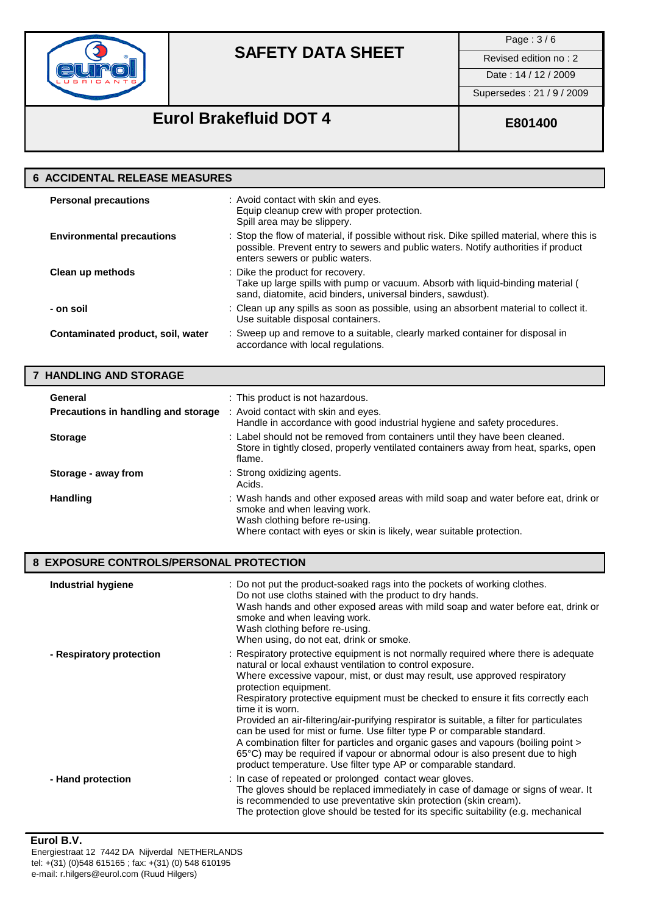

Page : 3 / 6

Date : 14 / 12 / 2009

Supersedes : 21 / 9 / 2009

# **Eurol Brakefluid DOT 4 E801400**

| <b>6 ACCIDENTAL RELEASE MEASURES</b> |                                                                                                                                                                                                                      |
|--------------------------------------|----------------------------------------------------------------------------------------------------------------------------------------------------------------------------------------------------------------------|
| <b>Personal precautions</b>          | : Avoid contact with skin and eyes.<br>Equip cleanup crew with proper protection.<br>Spill area may be slippery.                                                                                                     |
| <b>Environmental precautions</b>     | : Stop the flow of material, if possible without risk. Dike spilled material, where this is<br>possible. Prevent entry to sewers and public waters. Notify authorities if product<br>enters sewers or public waters. |
| Clean up methods                     | : Dike the product for recovery.<br>Take up large spills with pump or vacuum. Absorb with liquid-binding material (<br>sand, diatomite, acid binders, universal binders, sawdust).                                   |
| - on soil                            | : Clean up any spills as soon as possible, using an absorbent material to collect it.<br>Use suitable disposal containers.                                                                                           |
| Contaminated product, soil, water    | : Sweep up and remove to a suitable, clearly marked container for disposal in<br>accordance with local regulations.                                                                                                  |

### **7 HANDLING AND STORAGE**

| General                             | : This product is not hazardous.                                                                                                                                                                                             |
|-------------------------------------|------------------------------------------------------------------------------------------------------------------------------------------------------------------------------------------------------------------------------|
| Precautions in handling and storage | : Avoid contact with skin and eyes.<br>Handle in accordance with good industrial hygiene and safety procedures.                                                                                                              |
| <b>Storage</b>                      | : Label should not be removed from containers until they have been cleaned.<br>Store in tightly closed, properly ventilated containers away from heat, sparks, open<br>flame.                                                |
| Storage - away from                 | : Strong oxidizing agents.<br>Acids.                                                                                                                                                                                         |
| <b>Handling</b>                     | : Wash hands and other exposed areas with mild soap and water before eat, drink or<br>smoke and when leaving work.<br>Wash clothing before re-using.<br>Where contact with eyes or skin is likely, wear suitable protection. |

### **8 EXPOSURE CONTROLS/PERSONAL PROTECTION**

| Industrial hygiene       | : Do not put the product-soaked rags into the pockets of working clothes.<br>Do not use cloths stained with the product to dry hands.<br>Wash hands and other exposed areas with mild soap and water before eat, drink or<br>smoke and when leaving work.<br>Wash clothing before re-using.<br>When using, do not eat, drink or smoke.                                                                                                                                                                                                                                                                                                                                                                                                                                            |
|--------------------------|-----------------------------------------------------------------------------------------------------------------------------------------------------------------------------------------------------------------------------------------------------------------------------------------------------------------------------------------------------------------------------------------------------------------------------------------------------------------------------------------------------------------------------------------------------------------------------------------------------------------------------------------------------------------------------------------------------------------------------------------------------------------------------------|
| - Respiratory protection | : Respiratory protective equipment is not normally required where there is adequate<br>natural or local exhaust ventilation to control exposure.<br>Where excessive vapour, mist, or dust may result, use approved respiratory<br>protection equipment.<br>Respiratory protective equipment must be checked to ensure it fits correctly each<br>time it is worn.<br>Provided an air-filtering/air-purifying respirator is suitable, a filter for particulates<br>can be used for mist or fume. Use filter type P or comparable standard.<br>A combination filter for particles and organic gases and vapours (boiling point ><br>65°C) may be required if vapour or abnormal odour is also present due to high<br>product temperature. Use filter type AP or comparable standard. |
| - Hand protection        | : In case of repeated or prolonged contact wear gloves.<br>The gloves should be replaced immediately in case of damage or signs of wear. It<br>is recommended to use preventative skin protection (skin cream).<br>The protection glove should be tested for its specific suitability (e.g. mechanical                                                                                                                                                                                                                                                                                                                                                                                                                                                                            |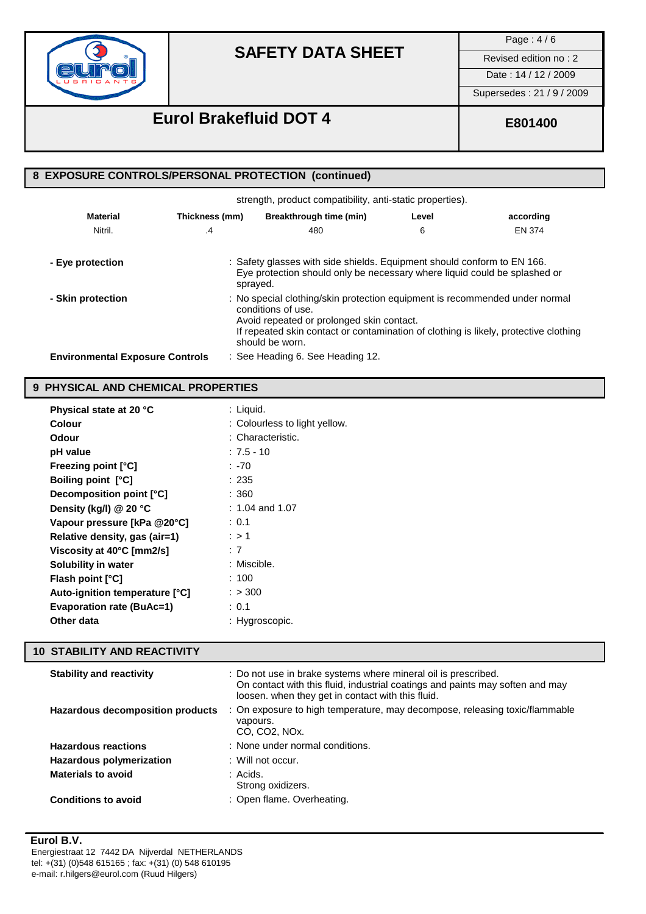

Page : 4 / 6

Date : 14 / 12 / 2009

Supersedes : 21 / 9 / 2009

## **Eurol Brakefluid DOT 4 E801400**

### **8 EXPOSURE CONTROLS/PERSONAL PROTECTION (continued)**

| strength, product compatibility, anti-static properties). |                |                                                                                                                                                                                                                                                           |       |           |
|-----------------------------------------------------------|----------------|-----------------------------------------------------------------------------------------------------------------------------------------------------------------------------------------------------------------------------------------------------------|-------|-----------|
| <b>Material</b>                                           | Thickness (mm) | Breakthrough time (min)                                                                                                                                                                                                                                   | Level | according |
| Nitril.                                                   | .4             | 480                                                                                                                                                                                                                                                       | 6     | EN 374    |
| - Eye protection                                          |                | : Safety glasses with side shields. Equipment should conform to EN 166.<br>Eye protection should only be necessary where liquid could be splashed or<br>sprayed.                                                                                          |       |           |
| - Skin protection                                         |                | : No special clothing/skin protection equipment is recommended under normal<br>conditions of use.<br>Avoid repeated or prolonged skin contact.<br>If repeated skin contact or contamination of clothing is likely, protective clothing<br>should be worn. |       |           |
| <b>Environmental Exposure Controls</b>                    |                | : See Heading 6. See Heading 12.                                                                                                                                                                                                                          |       |           |

### **9 PHYSICAL AND CHEMICAL PROPERTIES**

| Physical state at 20 °C          | : Liquid.                     |
|----------------------------------|-------------------------------|
| Colour                           | : Colourless to light yellow. |
| Odour                            | : Characteristic.             |
| pH value                         | :7.5 - 10                     |
| <b>Freezing point [°C]</b>       | : -70                         |
| <b>Boiling point [°C]</b>        | :235                          |
| Decomposition point [°C]         | :360                          |
| Density (kg/l) @ 20 °C           | : 1.04 and 1.07               |
| Vapour pressure [kPa @20°C]      | : 0.1                         |
| Relative density, gas (air=1)    | : > 1                         |
| Viscosity at 40°C [mm2/s]        | : 7                           |
| <b>Solubility in water</b>       | : Miscible.                   |
| <b>Flash point [°C]</b>          | :100                          |
| Auto-ignition temperature [°C]   | : > 300                       |
| <b>Evaporation rate (BuAc=1)</b> | : 0.1                         |
| Other data                       | : Hygroscopic.                |
|                                  |                               |

### **10 STABILITY AND REACTIVITY**

| <b>Stability and reactivity</b>  | : Do not use in brake systems where mineral oil is prescribed.<br>On contact with this fluid, industrial coatings and paints may soften and may<br>loosen. when they get in contact with this fluid. |
|----------------------------------|------------------------------------------------------------------------------------------------------------------------------------------------------------------------------------------------------|
| Hazardous decomposition products | : On exposure to high temperature, may decompose, releasing toxic/flammable<br>vapours.<br>CO. CO <sub>2</sub> . NO <sub>x</sub> .                                                                   |
| <b>Hazardous reactions</b>       | : None under normal conditions.                                                                                                                                                                      |
| Hazardous polymerization         | $\pm$ Will not occur.                                                                                                                                                                                |
| <b>Materials to avoid</b>        | : Acids.<br>Strong oxidizers.                                                                                                                                                                        |
| <b>Conditions to avoid</b>       | : Open flame. Overheating.                                                                                                                                                                           |

### **Eurol B.V.**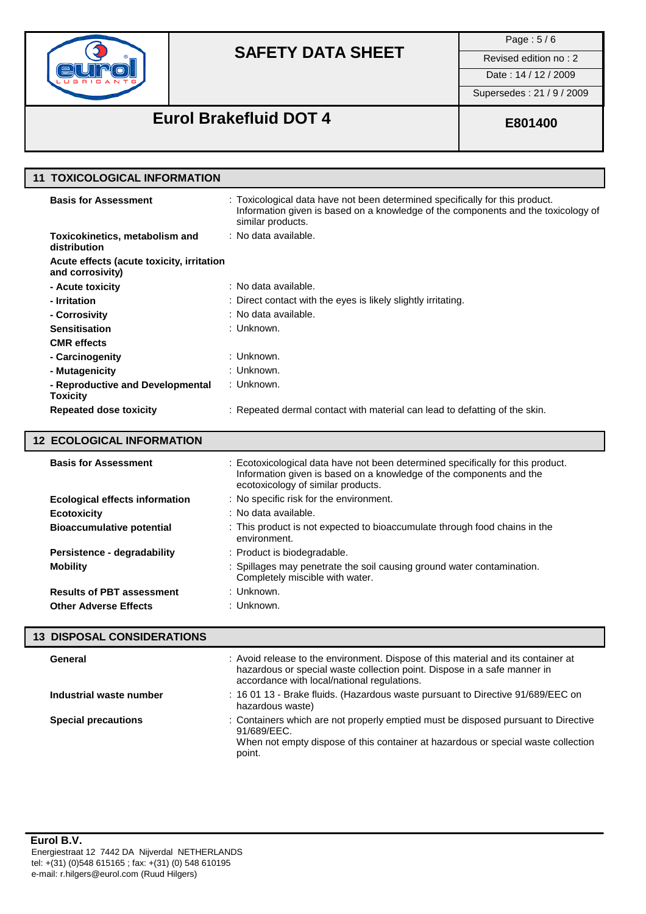

Page : 5 / 6

Date : 14 / 12 / 2009

Supersedes : 21 / 9 / 2009

# **Eurol Brakefluid DOT 4 E801400**

| 11 TOXICOLOGICAL INFORMATION                                  |                                                                                                                                                                                        |
|---------------------------------------------------------------|----------------------------------------------------------------------------------------------------------------------------------------------------------------------------------------|
| <b>Basis for Assessment</b>                                   | : Toxicological data have not been determined specifically for this product.<br>Information given is based on a knowledge of the components and the toxicology of<br>similar products. |
| Toxicokinetics, metabolism and<br>distribution                | : No data available.                                                                                                                                                                   |
| Acute effects (acute toxicity, irritation<br>and corrosivity) |                                                                                                                                                                                        |
| - Acute toxicity                                              | : No data available.                                                                                                                                                                   |
| - Irritation                                                  | : Direct contact with the eyes is likely slightly irritating.                                                                                                                          |
| - Corrosivity                                                 | : No data available.                                                                                                                                                                   |
| <b>Sensitisation</b>                                          | : Unknown.                                                                                                                                                                             |
| <b>CMR</b> effects                                            |                                                                                                                                                                                        |
| - Carcinogenity                                               | : Unknown.                                                                                                                                                                             |
| - Mutagenicity                                                | : Unknown.                                                                                                                                                                             |
| - Reproductive and Developmental<br><b>Toxicity</b>           | : Unknown.                                                                                                                                                                             |
| <b>Repeated dose toxicity</b>                                 | : Repeated dermal contact with material can lead to defatting of the skin.                                                                                                             |
| 12 ECOLOGICAL INFORMATION                                     |                                                                                                                                                                                        |

| <b>Basis for Assessment</b>           | : Ecotoxicological data have not been determined specifically for this product.<br>Information given is based on a knowledge of the components and the<br>ecotoxicology of similar products. |
|---------------------------------------|----------------------------------------------------------------------------------------------------------------------------------------------------------------------------------------------|
| <b>Ecological effects information</b> | : No specific risk for the environment.                                                                                                                                                      |
| <b>Ecotoxicity</b>                    | : No data available.                                                                                                                                                                         |
| <b>Bioaccumulative potential</b>      | : This product is not expected to bioaccumulate through food chains in the<br>environment.                                                                                                   |
| Persistence - degradability           | : Product is biodegradable.                                                                                                                                                                  |
| <b>Mobility</b>                       | : Spillages may penetrate the soil causing ground water contamination.<br>Completely miscible with water.                                                                                    |
| <b>Results of PBT assessment</b>      | : Unknown.                                                                                                                                                                                   |
| <b>Other Adverse Effects</b>          | : Unknown.                                                                                                                                                                                   |

### **13 DISPOSAL CONSIDERATIONS**

| General                    | : Avoid release to the environment. Dispose of this material and its container at<br>hazardous or special waste collection point. Dispose in a safe manner in<br>accordance with local/national regulations. |
|----------------------------|--------------------------------------------------------------------------------------------------------------------------------------------------------------------------------------------------------------|
| Industrial waste number    | : 16 01 13 - Brake fluids. (Hazardous waste pursuant to Directive 91/689/EEC on<br>hazardous waste)                                                                                                          |
| <b>Special precautions</b> | : Containers which are not properly emptied must be disposed pursuant to Directive<br>91/689/FFC.<br>When not empty dispose of this container at hazardous or special waste collection<br>point.             |